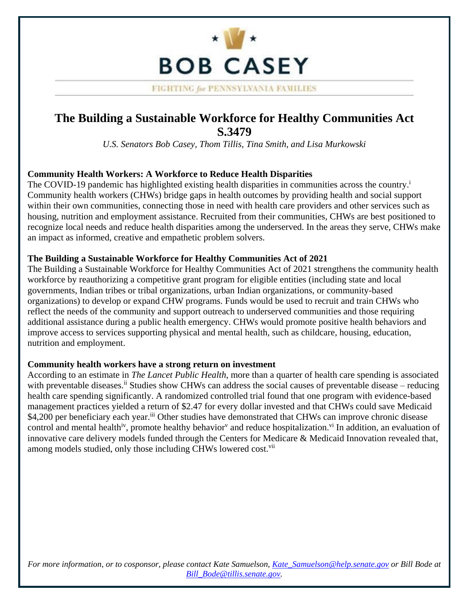

FIGHTING for PENNSYLVANIA FAMILIES

## **The Building a Sustainable Workforce for Healthy Communities Act S.3479**

*U.S. Senators Bob Casey, Thom Tillis, Tina Smith, and Lisa Murkowski* 

## **Community Health Workers: A Workforce to Reduce Health Disparities**

The COVID-19 pandemic has highlighted existing health disparities in communities across the country.<sup>i</sup> Community health workers (CHWs) bridge gaps in health outcomes by providing health and social support within their own communities, connecting those in need with health care providers and other services such as housing, nutrition and employment assistance. Recruited from their communities, CHWs are best positioned to recognize local needs and reduce health disparities among the underserved. In the areas they serve, CHWs make an impact as informed, creative and empathetic problem solvers.

## **The Building a Sustainable Workforce for Healthy Communities Act of 2021**

The Building a Sustainable Workforce for Healthy Communities Act of 2021 strengthens the community health workforce by reauthorizing a competitive grant program for eligible entities (including state and local governments, Indian tribes or tribal organizations, urban Indian organizations, or community-based organizations) to develop or expand CHW programs. Funds would be used to recruit and train CHWs who reflect the needs of the community and support outreach to underserved communities and those requiring additional assistance during a public health emergency. CHWs would promote positive health behaviors and improve access to services supporting physical and mental health, such as childcare, housing, education, nutrition and employment.

## **Community health workers have a strong return on investment**

among models studied, only those including CHWs lowered cost.<sup>vii</sup> According to an estimate in *The Lancet Public Health*, more than a quarter of health care spending is associated with preventable [diseases.](https://diseases.ii)<sup>ii</sup> Studies show CHWs can address the social causes of preventable disease – reducing health care spending significantly. A randomized controlled trial found that one program with evidence-based management practices yielded a return of \$2.47 for every dollar invested and that CHWs could save Medicaid \$4,200 per beneficiary each year.<sup>iii</sup> Other studies have demonstrated that CHWs can improve chronic disease control and mental health<sup>iv</sup>, promote healthy behavior<sup>v</sup> and reduce hospitalization.<sup>vi</sup> In addition, an evaluation of innovative care delivery models funded through the Centers for Medicare & Medicaid Innovation revealed that,